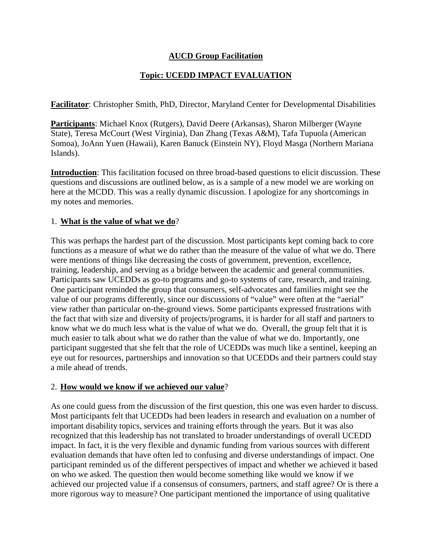## **AUCD Group Facilitation**

# **Topic: UCEDD IMPACT EVALUATION**

**Facilitator**: Christopher Smith, PhD, Director, Maryland Center for Developmental Disabilities

**Participants**: Michael Knox (Rutgers), David Deere (Arkansas), Sharon Milberger (Wayne State), Teresa McCourt (West Virginia), Dan Zhang (Texas A&M), Tafa Tupuola (American Somoa), JoAnn Yuen (Hawaii), Karen Banuck (Einstein NY), Floyd Masga (Northern Mariana Islands).

**Introduction**: This facilitation focused on three broad-based questions to elicit discussion. These questions and discussions are outlined below, as is a sample of a new model we are working on here at the MCDD. This was a really dynamic discussion. I apologize for any shortcomings in my notes and memories.

#### 1. **What is the value of what we do**?

This was perhaps the hardest part of the discussion. Most participants kept coming back to core functions as a measure of what we do rather than the measure of the value of what we do. There were mentions of things like decreasing the costs of government, prevention, excellence, training, leadership, and serving as a bridge between the academic and general communities. Participants saw UCEDDs as go-to programs and go-to systems of care, research, and training. One participant reminded the group that consumers, self-advocates and families might see the value of our programs differently, since our discussions of "value" were often at the "aerial" view rather than particular on-the-ground views. Some participants expressed frustrations with the fact that with size and diversity of projects/programs, it is harder for all staff and partners to know what we do much less what is the value of what we do. Overall, the group felt that it is much easier to talk about what we do rather than the value of what we do. Importantly, one participant suggested that she felt that the role of UCEDDs was much like a sentinel, keeping an eye out for resources, partnerships and innovation so that UCEDDs and their partners could stay a mile ahead of trends.

#### 2. **How would we know if we achieved our value**?

As one could guess from the discussion of the first question, this one was even harder to discuss. Most participants felt that UCEDDs had been leaders in research and evaluation on a number of important disability topics, services and training efforts through the years. But it was also recognized that this leadership has not translated to broader understandings of overall UCEDD impact. In fact, it is the very flexible and dynamic funding from various sources with different evaluation demands that have often led to confusing and diverse understandings of impact. One participant reminded us of the different perspectives of impact and whether we achieved it based on who we asked. The question then would become something like would we know if we achieved our projected value if a consensus of consumers, partners, and staff agree? Or is there a more rigorous way to measure? One participant mentioned the importance of using qualitative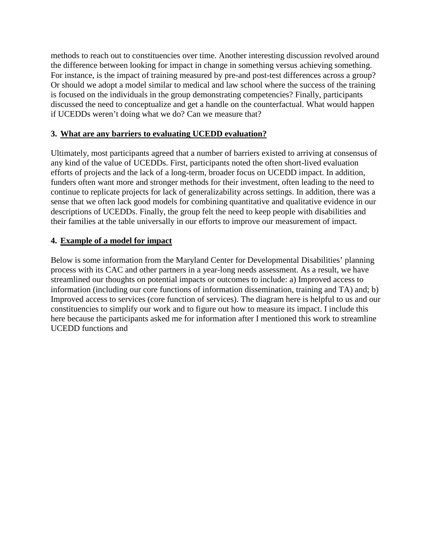methods to reach out to constituencies over time. Another interesting discussion revolved around the difference between looking for impact in change in something versus achieving something. For instance, is the impact of training measured by pre-and post-test differences across a group? Or should we adopt a model similar to medical and law school where the success of the training is focused on the individuals in the group demonstrating competencies? Finally, participants discussed the need to conceptualize and get a handle on the counterfactual. What would happen if UCEDDs weren't doing what we do? Can we measure that?

#### **3. What are any barriers to evaluating UCEDD evaluation?**

Ultimately, most participants agreed that a number of barriers existed to arriving at consensus of any kind of the value of UCEDDs. First, participants noted the often short-lived evaluation efforts of projects and the lack of a long-term, broader focus on UCEDD impact. In addition, funders often want more and stronger methods for their investment, often leading to the need to continue to replicate projects for lack of generalizability across settings. In addition, there was a sense that we often lack good models for combining quantitative and qualitative evidence in our descriptions of UCEDDs. Finally, the group felt the need to keep people with disabilities and their families at the table universally in our efforts to improve our measurement of impact.

## **4. Example of a model for impact**

Below is some information from the Maryland Center for Developmental Disabilities' planning process with its CAC and other partners in a year-long needs assessment. As a result, we have streamlined our thoughts on potential impacts or outcomes to include: a) Improved access to information (including our core functions of information dissemination, training and TA) and; b) Improved access to services (core function of services). The diagram here is helpful to us and our constituencies to simplify our work and to figure out how to measure its impact. I include this here because the participants asked me for information after I mentioned this work to streamline UCEDD functions and